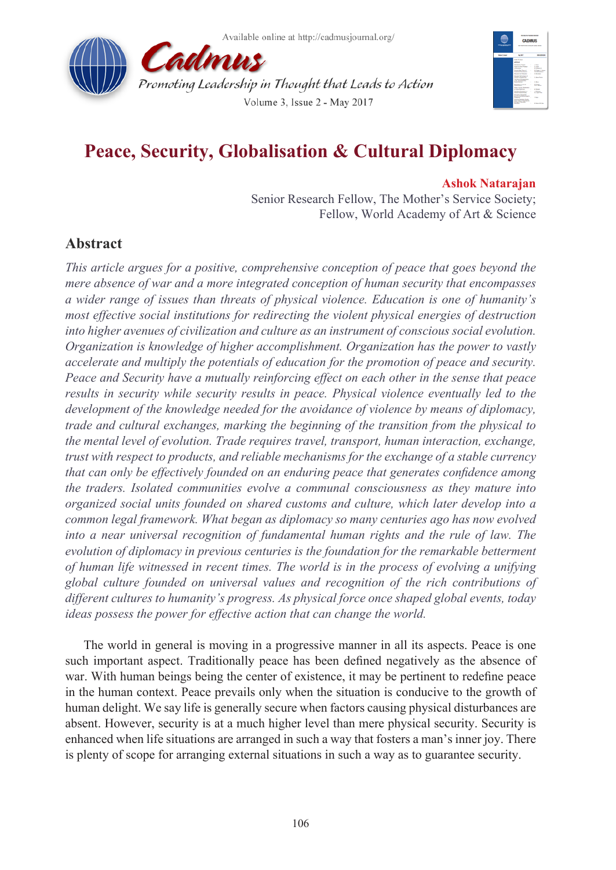



# **Peace, Security, Globalisation & Cultural Diplomacy**

#### **Ashok Natarajan**

Senior Research Fellow, The Mother's Service Society; Fellow, World Academy of Art & Science

## **Abstract**

*This article argues for a positive, comprehensive conception of peace that goes beyond the mere absence of war and a more integrated conception of human security that encompasses a wider range of issues than threats of physical violence. Education is one of humanity's most effective social institutions for redirecting the violent physical energies of destruction into higher avenues of civilization and culture as an instrument of conscious social evolution. Organization is knowledge of higher accomplishment. Organization has the power to vastly accelerate and multiply the potentials of education for the promotion of peace and security. Peace and Security have a mutually reinforcing effect on each other in the sense that peace*  results in security while security results in peace. Physical violence eventually led to the *development of the knowledge needed for the avoidance of violence by means of diplomacy, trade and cultural exchanges, marking the beginning of the transition from the physical to the mental level of evolution. Trade requires travel, transport, human interaction, exchange, trust with respect to products, and reliable mechanisms for the exchange of a stable currency that can only be effectively founded on an enduring peace that generates confidence among the traders. Isolated communities evolve a communal consciousness as they mature into organized social units founded on shared customs and culture, which later develop into a common legal framework. What began as diplomacy so many centuries ago has now evolved into a near universal recognition of fundamental human rights and the rule of law. The evolution of diplomacy in previous centuries is the foundation for the remarkable betterment of human life witnessed in recent times. The world is in the process of evolving a unifying global culture founded on universal values and recognition of the rich contributions of different cultures to humanity's progress. As physical force once shaped global events, today ideas possess the power for effective action that can change the world.*

The world in general is moving in a progressive manner in all its aspects. Peace is one such important aspect. Traditionally peace has been defined negatively as the absence of war. With human beings being the center of existence, it may be pertinent to redefine peace in the human context. Peace prevails only when the situation is conducive to the growth of human delight. We say life is generally secure when factors causing physical disturbances are absent. However, security is at a much higher level than mere physical security. Security is enhanced when life situations are arranged in such a way that fosters a man's inner joy. There is plenty of scope for arranging external situations in such a way as to guarantee security.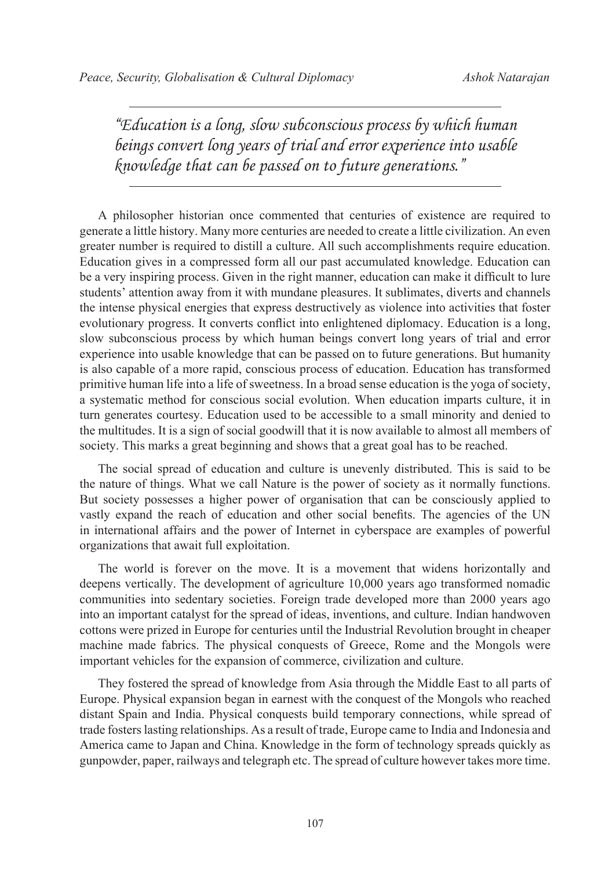*"Education is a long, slow subconscious process by which human beings convert long years of trial and error experience into usable knowledge that can be passed on to future generations."*

A philosopher historian once commented that centuries of existence are required to generate a little history. Many more centuries are needed to create a little civilization. An even greater number is required to distill a culture. All such accomplishments require education. Education gives in a compressed form all our past accumulated knowledge. Education can be a very inspiring process. Given in the right manner, education can make it difficult to lure students' attention away from it with mundane pleasures. It sublimates, diverts and channels the intense physical energies that express destructively as violence into activities that foster evolutionary progress. It converts conflict into enlightened diplomacy. Education is a long, slow subconscious process by which human beings convert long years of trial and error experience into usable knowledge that can be passed on to future generations. But humanity is also capable of a more rapid, conscious process of education. Education has transformed primitive human life into a life of sweetness. In a broad sense education is the yoga of society, a systematic method for conscious social evolution. When education imparts culture, it in turn generates courtesy. Education used to be accessible to a small minority and denied to the multitudes. It is a sign of social goodwill that it is now available to almost all members of society. This marks a great beginning and shows that a great goal has to be reached.

The social spread of education and culture is unevenly distributed. This is said to be the nature of things. What we call Nature is the power of society as it normally functions. But society possesses a higher power of organisation that can be consciously applied to vastly expand the reach of education and other social benefits. The agencies of the UN in international affairs and the power of Internet in cyberspace are examples of powerful organizations that await full exploitation.

The world is forever on the move. It is a movement that widens horizontally and deepens vertically. The development of agriculture 10,000 years ago transformed nomadic communities into sedentary societies. Foreign trade developed more than 2000 years ago into an important catalyst for the spread of ideas, inventions, and culture. Indian handwoven cottons were prized in Europe for centuries until the Industrial Revolution brought in cheaper machine made fabrics. The physical conquests of Greece, Rome and the Mongols were important vehicles for the expansion of commerce, civilization and culture.

They fostered the spread of knowledge from Asia through the Middle East to all parts of Europe. Physical expansion began in earnest with the conquest of the Mongols who reached distant Spain and India. Physical conquests build temporary connections, while spread of trade fosters lasting relationships. As a result of trade, Europe came to India and Indonesia and America came to Japan and China. Knowledge in the form of technology spreads quickly as gunpowder, paper, railways and telegraph etc. The spread of culture however takes more time.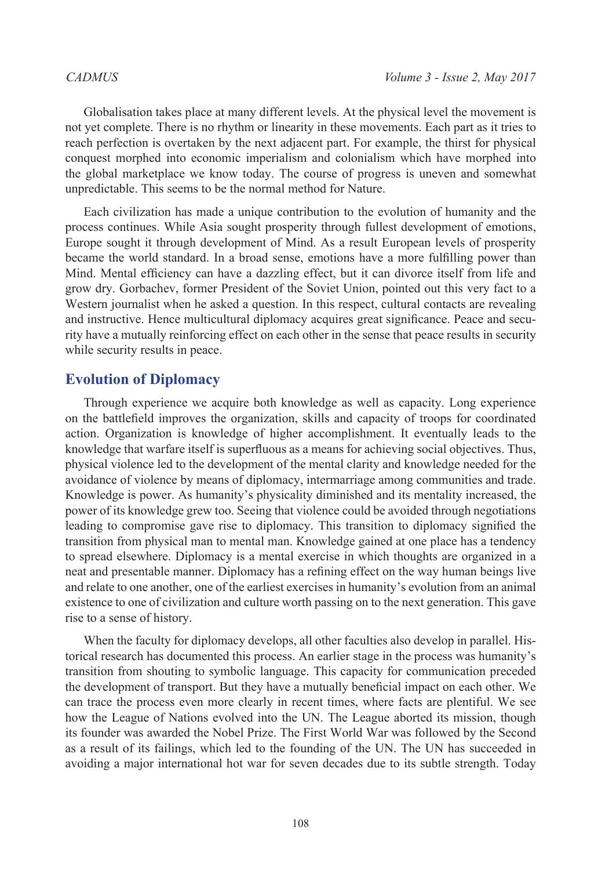Globalisation takes place at many different levels. At the physical level the movement is not yet complete. There is no rhythm or linearity in these movements. Each part as it tries to reach perfection is overtaken by the next adjacent part. For example, the thirst for physical conquest morphed into economic imperialism and colonialism which have morphed into the global marketplace we know today. The course of progress is uneven and somewhat unpredictable. This seems to be the normal method for Nature.

Each civilization has made a unique contribution to the evolution of humanity and the process continues. While Asia sought prosperity through fullest development of emotions, Europe sought it through development of Mind. As a result European levels of prosperity became the world standard. In a broad sense, emotions have a more fulfilling power than Mind. Mental efficiency can have a dazzling effect, but it can divorce itself from life and grow dry. Gorbachev, former President of the Soviet Union, pointed out this very fact to a Western journalist when he asked a question. In this respect, cultural contacts are revealing and instructive. Hence multicultural diplomacy acquires great significance. Peace and security have a mutually reinforcing effect on each other in the sense that peace results in security while security results in peace.

### **Evolution of Diplomacy**

Through experience we acquire both knowledge as well as capacity. Long experience on the battlefield improves the organization, skills and capacity of troops for coordinated action. Organization is knowledge of higher accomplishment. It eventually leads to the knowledge that warfare itself is superfluous as a means for achieving social objectives. Thus, physical violence led to the development of the mental clarity and knowledge needed for the avoidance of violence by means of diplomacy, intermarriage among communities and trade. Knowledge is power. As humanity's physicality diminished and its mentality increased, the power of its knowledge grew too. Seeing that violence could be avoided through negotiations leading to compromise gave rise to diplomacy. This transition to diplomacy signified the transition from physical man to mental man. Knowledge gained at one place has a tendency to spread elsewhere. Diplomacy is a mental exercise in which thoughts are organized in a neat and presentable manner. Diplomacy has a refining effect on the way human beings live and relate to one another, one of the earliest exercises in humanity's evolution from an animal existence to one of civilization and culture worth passing on to the next generation. This gave rise to a sense of history.

When the faculty for diplomacy develops, all other faculties also develop in parallel. Historical research has documented this process. An earlier stage in the process was humanity's transition from shouting to symbolic language. This capacity for communication preceded the development of transport. But they have a mutually beneficial impact on each other. We can trace the process even more clearly in recent times, where facts are plentiful. We see how the League of Nations evolved into the UN. The League aborted its mission, though its founder was awarded the Nobel Prize. The First World War was followed by the Second as a result of its failings, which led to the founding of the UN. The UN has succeeded in avoiding a major international hot war for seven decades due to its subtle strength. Today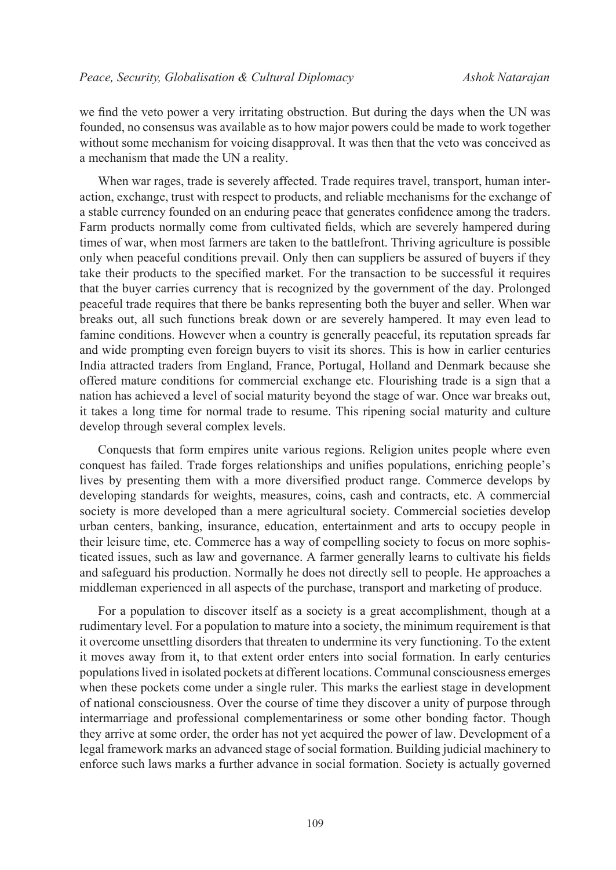we find the veto power a very irritating obstruction. But during the days when the UN was founded, no consensus was available as to how major powers could be made to work together without some mechanism for voicing disapproval. It was then that the veto was conceived as a mechanism that made the UN a reality.

When war rages, trade is severely affected. Trade requires travel, transport, human interaction, exchange, trust with respect to products, and reliable mechanisms for the exchange of a stable currency founded on an enduring peace that generates confidence among the traders. Farm products normally come from cultivated fields, which are severely hampered during times of war, when most farmers are taken to the battlefront. Thriving agriculture is possible only when peaceful conditions prevail. Only then can suppliers be assured of buyers if they take their products to the specified market. For the transaction to be successful it requires that the buyer carries currency that is recognized by the government of the day. Prolonged peaceful trade requires that there be banks representing both the buyer and seller. When war breaks out, all such functions break down or are severely hampered. It may even lead to famine conditions. However when a country is generally peaceful, its reputation spreads far and wide prompting even foreign buyers to visit its shores. This is how in earlier centuries India attracted traders from England, France, Portugal, Holland and Denmark because she offered mature conditions for commercial exchange etc. Flourishing trade is a sign that a nation has achieved a level of social maturity beyond the stage of war. Once war breaks out, it takes a long time for normal trade to resume. This ripening social maturity and culture develop through several complex levels.

Conquests that form empires unite various regions. Religion unites people where even conquest has failed. Trade forges relationships and unifies populations, enriching people's lives by presenting them with a more diversified product range. Commerce develops by developing standards for weights, measures, coins, cash and contracts, etc. A commercial society is more developed than a mere agricultural society. Commercial societies develop urban centers, banking, insurance, education, entertainment and arts to occupy people in their leisure time, etc. Commerce has a way of compelling society to focus on more sophisticated issues, such as law and governance. A farmer generally learns to cultivate his fields and safeguard his production. Normally he does not directly sell to people. He approaches a middleman experienced in all aspects of the purchase, transport and marketing of produce.

For a population to discover itself as a society is a great accomplishment, though at a rudimentary level. For a population to mature into a society, the minimum requirement is that it overcome unsettling disorders that threaten to undermine its very functioning. To the extent it moves away from it, to that extent order enters into social formation. In early centuries populations lived in isolated pockets at different locations. Communal consciousness emerges when these pockets come under a single ruler. This marks the earliest stage in development of national consciousness. Over the course of time they discover a unity of purpose through intermarriage and professional complementariness or some other bonding factor. Though they arrive at some order, the order has not yet acquired the power of law. Development of a legal framework marks an advanced stage of social formation. Building judicial machinery to enforce such laws marks a further advance in social formation. Society is actually governed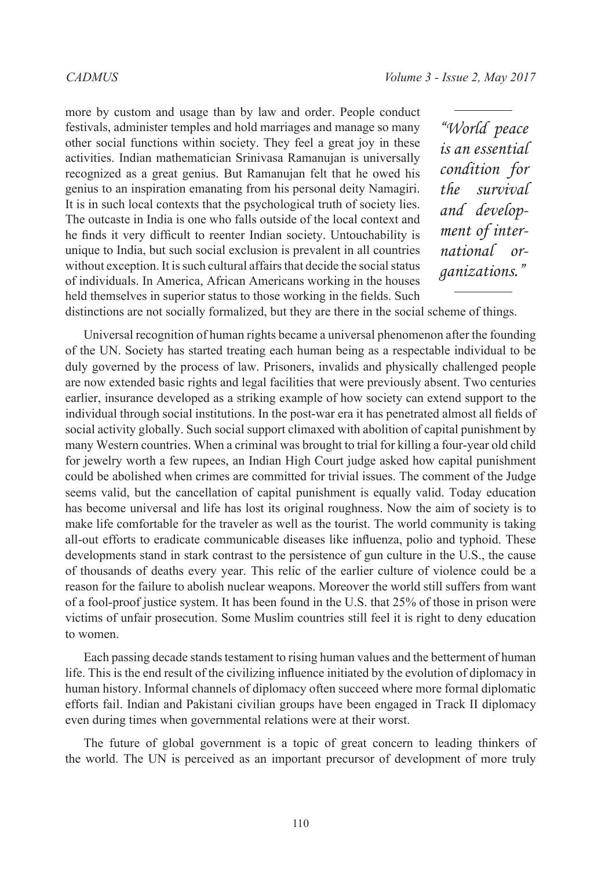more by custom and usage than by law and order. People conduct festivals, administer temples and hold marriages and manage so many other social functions within society. They feel a great joy in these activities. Indian mathematician Srinivasa Ramanujan is universally recognized as a great genius. But Ramanujan felt that he owed his genius to an inspiration emanating from his personal deity Namagiri. It is in such local contexts that the psychological truth of society lies. The outcaste in India is one who falls outside of the local context and he finds it very difficult to reenter Indian society. Untouchability is unique to India, but such social exclusion is prevalent in all countries without exception. It is such cultural affairs that decide the social status of individuals. In America, African Americans working in the houses held themselves in superior status to those working in the fields. Such

*"World peace is an essential condition for the survival and development of international organizations."*

distinctions are not socially formalized, but they are there in the social scheme of things.

Universal recognition of human rights became a universal phenomenon after the founding of the UN. Society has started treating each human being as a respectable individual to be duly governed by the process of law. Prisoners, invalids and physically challenged people are now extended basic rights and legal facilities that were previously absent. Two centuries earlier, insurance developed as a striking example of how society can extend support to the individual through social institutions. In the post-war era it has penetrated almost all fields of social activity globally. Such social support climaxed with abolition of capital punishment by many Western countries. When a criminal was brought to trial for killing a four-year old child for jewelry worth a few rupees, an Indian High Court judge asked how capital punishment could be abolished when crimes are committed for trivial issues. The comment of the Judge seems valid, but the cancellation of capital punishment is equally valid. Today education has become universal and life has lost its original roughness. Now the aim of society is to make life comfortable for the traveler as well as the tourist. The world community is taking all-out efforts to eradicate communicable diseases like influenza, polio and typhoid. These developments stand in stark contrast to the persistence of gun culture in the U.S., the cause of thousands of deaths every year. This relic of the earlier culture of violence could be a reason for the failure to abolish nuclear weapons. Moreover the world still suffers from want of a fool-proof justice system. It has been found in the U.S. that 25% of those in prison were victims of unfair prosecution. Some Muslim countries still feel it is right to deny education to women.

Each passing decade stands testament to rising human values and the betterment of human life. This is the end result of the civilizing influence initiated by the evolution of diplomacy in human history. Informal channels of diplomacy often succeed where more formal diplomatic efforts fail. Indian and Pakistani civilian groups have been engaged in Track II diplomacy even during times when governmental relations were at their worst.

The future of global government is a topic of great concern to leading thinkers of the world. The UN is perceived as an important precursor of development of more truly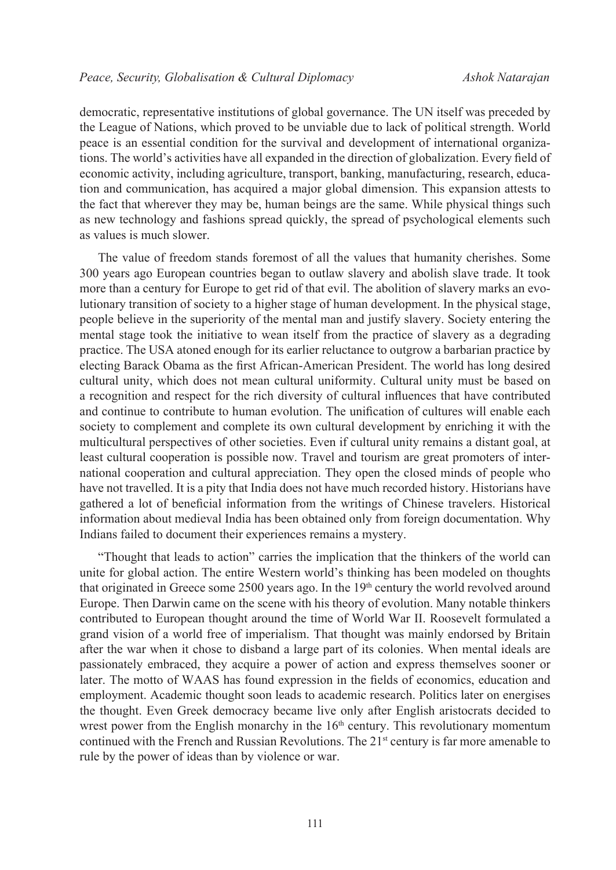democratic, representative institutions of global governance. The UN itself was preceded by the League of Nations, which proved to be unviable due to lack of political strength. World peace is an essential condition for the survival and development of international organizations. The world's activities have all expanded in the direction of globalization. Every field of economic activity, including agriculture, transport, banking, manufacturing, research, education and communication, has acquired a major global dimension. This expansion attests to the fact that wherever they may be, human beings are the same. While physical things such as new technology and fashions spread quickly, the spread of psychological elements such as values is much slower.

The value of freedom stands foremost of all the values that humanity cherishes. Some 300 years ago European countries began to outlaw slavery and abolish slave trade. It took more than a century for Europe to get rid of that evil. The abolition of slavery marks an evolutionary transition of society to a higher stage of human development. In the physical stage, people believe in the superiority of the mental man and justify slavery. Society entering the mental stage took the initiative to wean itself from the practice of slavery as a degrading practice. The USA atoned enough for its earlier reluctance to outgrow a barbarian practice by electing Barack Obama as the first African-American President. The world has long desired cultural unity, which does not mean cultural uniformity. Cultural unity must be based on a recognition and respect for the rich diversity of cultural influences that have contributed and continue to contribute to human evolution. The unification of cultures will enable each society to complement and complete its own cultural development by enriching it with the multicultural perspectives of other societies. Even if cultural unity remains a distant goal, at least cultural cooperation is possible now. Travel and tourism are great promoters of international cooperation and cultural appreciation. They open the closed minds of people who have not travelled. It is a pity that India does not have much recorded history. Historians have gathered a lot of beneficial information from the writings of Chinese travelers. Historical information about medieval India has been obtained only from foreign documentation. Why Indians failed to document their experiences remains a mystery.

"Thought that leads to action" carries the implication that the thinkers of the world can unite for global action. The entire Western world's thinking has been modeled on thoughts that originated in Greece some  $2500$  years ago. In the  $19<sup>th</sup>$  century the world revolved around Europe. Then Darwin came on the scene with his theory of evolution. Many notable thinkers contributed to European thought around the time of World War II. Roosevelt formulated a grand vision of a world free of imperialism. That thought was mainly endorsed by Britain after the war when it chose to disband a large part of its colonies. When mental ideals are passionately embraced, they acquire a power of action and express themselves sooner or later. The motto of WAAS has found expression in the fields of economics, education and employment. Academic thought soon leads to academic research. Politics later on energises the thought. Even Greek democracy became live only after English aristocrats decided to wrest power from the English monarchy in the  $16<sup>th</sup>$  century. This revolutionary momentum continued with the French and Russian Revolutions. The 21<sup>st</sup> century is far more amenable to rule by the power of ideas than by violence or war.